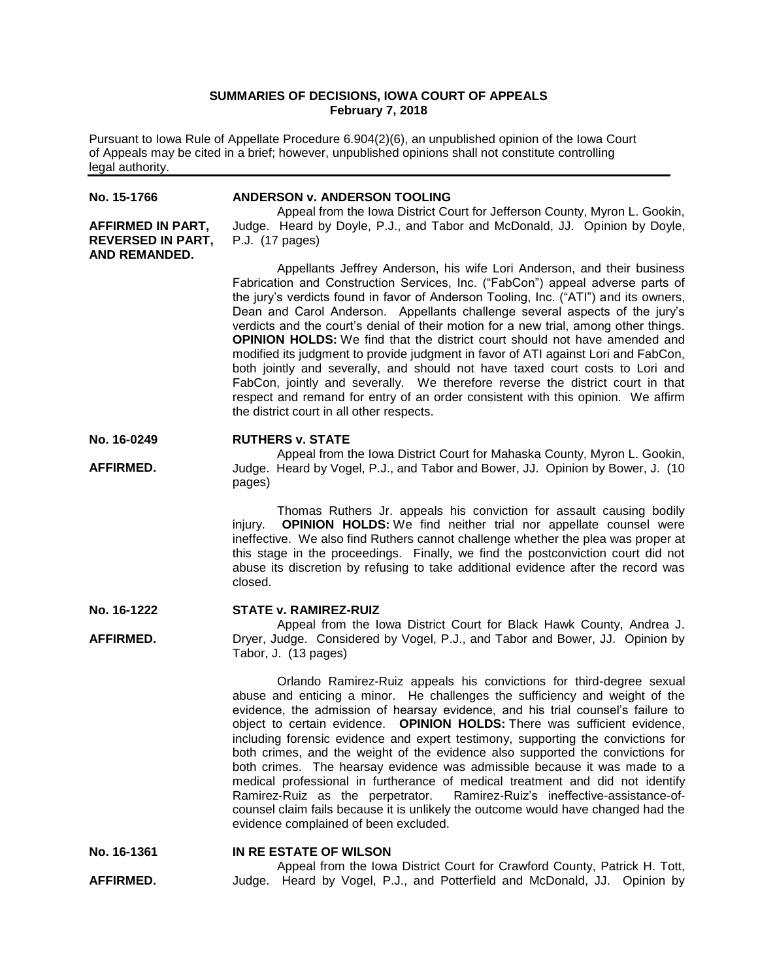# **SUMMARIES OF DECISIONS, IOWA COURT OF APPEALS February 7, 2018**

Pursuant to Iowa Rule of Appellate Procedure 6.904(2)(6), an unpublished opinion of the Iowa Court of Appeals may be cited in a brief; however, unpublished opinions shall not constitute controlling legal authority.

| No. 15-1766<br><b>AFFIRMED IN PART,</b><br><b>REVERSED IN PART,</b> | <b>ANDERSON v. ANDERSON TOOLING</b><br>Appeal from the Iowa District Court for Jefferson County, Myron L. Gookin,<br>Judge. Heard by Doyle, P.J., and Tabor and McDonald, JJ. Opinion by Doyle,<br>P.J. (17 pages)                                                                                                                                                                                                                                                                                                                                                                                                                                                                                                                                                                                                                                                                                      |
|---------------------------------------------------------------------|---------------------------------------------------------------------------------------------------------------------------------------------------------------------------------------------------------------------------------------------------------------------------------------------------------------------------------------------------------------------------------------------------------------------------------------------------------------------------------------------------------------------------------------------------------------------------------------------------------------------------------------------------------------------------------------------------------------------------------------------------------------------------------------------------------------------------------------------------------------------------------------------------------|
| AND REMANDED.                                                       | Appellants Jeffrey Anderson, his wife Lori Anderson, and their business<br>Fabrication and Construction Services, Inc. ("FabCon") appeal adverse parts of<br>the jury's verdicts found in favor of Anderson Tooling, Inc. ("ATI") and its owners,<br>Dean and Carol Anderson. Appellants challenge several aspects of the jury's<br>verdicts and the court's denial of their motion for a new trial, among other things.<br><b>OPINION HOLDS:</b> We find that the district court should not have amended and<br>modified its judgment to provide judgment in favor of ATI against Lori and FabCon,<br>both jointly and severally, and should not have taxed court costs to Lori and<br>FabCon, jointly and severally. We therefore reverse the district court in that<br>respect and remand for entry of an order consistent with this opinion. We affirm<br>the district court in all other respects. |
| No. 16-0249                                                         | <b>RUTHERS v. STATE</b>                                                                                                                                                                                                                                                                                                                                                                                                                                                                                                                                                                                                                                                                                                                                                                                                                                                                                 |
| <b>AFFIRMED.</b>                                                    | Appeal from the Iowa District Court for Mahaska County, Myron L. Gookin,<br>Judge. Heard by Vogel, P.J., and Tabor and Bower, JJ. Opinion by Bower, J. (10<br>pages)                                                                                                                                                                                                                                                                                                                                                                                                                                                                                                                                                                                                                                                                                                                                    |
|                                                                     | Thomas Ruthers Jr. appeals his conviction for assault causing bodily<br><b>OPINION HOLDS:</b> We find neither trial nor appellate counsel were<br>injury.<br>ineffective. We also find Ruthers cannot challenge whether the plea was proper at<br>this stage in the proceedings. Finally, we find the postconviction court did not<br>abuse its discretion by refusing to take additional evidence after the record was<br>closed.                                                                                                                                                                                                                                                                                                                                                                                                                                                                      |
| No. 16-1222                                                         | <b>STATE v. RAMIREZ-RUIZ</b>                                                                                                                                                                                                                                                                                                                                                                                                                                                                                                                                                                                                                                                                                                                                                                                                                                                                            |
| <b>AFFIRMED.</b>                                                    | Appeal from the Iowa District Court for Black Hawk County, Andrea J.<br>Dryer, Judge. Considered by Vogel, P.J., and Tabor and Bower, JJ. Opinion by<br>Tabor, J. (13 pages)                                                                                                                                                                                                                                                                                                                                                                                                                                                                                                                                                                                                                                                                                                                            |
|                                                                     | Orlando Ramirez-Ruiz appeals his convictions for third-degree sexual<br>abuse and enticing a minor. He challenges the sufficiency and weight of the<br>evidence, the admission of hearsay evidence, and his trial counsel's failure to<br>object to certain evidence. OPINION HOLDS: There was sufficient evidence,<br>including forensic evidence and expert testimony, supporting the convictions for<br>both crimes, and the weight of the evidence also supported the convictions for<br>both crimes. The hearsay evidence was admissible because it was made to a<br>medical professional in furtherance of medical treatment and did not identify<br>Ramirez-Ruiz's ineffective-assistance-of-<br>Ramirez-Ruiz as the perpetrator.<br>counsel claim fails because it is unlikely the outcome would have changed had the<br>evidence complained of been excluded.                                  |
| No. 16-1361                                                         | IN RE ESTATE OF WILSON                                                                                                                                                                                                                                                                                                                                                                                                                                                                                                                                                                                                                                                                                                                                                                                                                                                                                  |

**AFFIRMED.** Appeal from the Iowa District Court for Crawford County, Patrick H. Tott, Judge. Heard by Vogel, P.J., and Potterfield and McDonald, JJ. Opinion by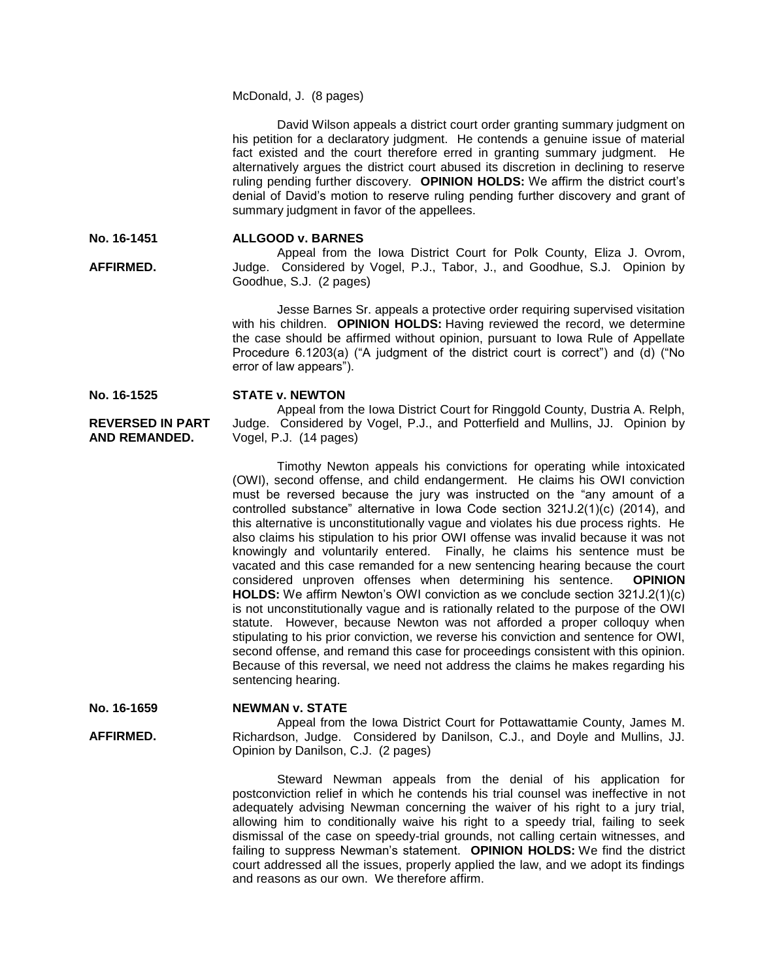### McDonald, J. (8 pages)

David Wilson appeals a district court order granting summary judgment on his petition for a declaratory judgment. He contends a genuine issue of material fact existed and the court therefore erred in granting summary judgment. He alternatively argues the district court abused its discretion in declining to reserve ruling pending further discovery. **OPINION HOLDS:** We affirm the district court's denial of David's motion to reserve ruling pending further discovery and grant of summary judgment in favor of the appellees.

**No. 16-1451**

**AFFIRMED.**

### **ALLGOOD v. BARNES**

Appeal from the Iowa District Court for Polk County, Eliza J. Ovrom, Judge. Considered by Vogel, P.J., Tabor, J., and Goodhue, S.J. Opinion by Goodhue, S.J. (2 pages)

Jesse Barnes Sr. appeals a protective order requiring supervised visitation with his children. **OPINION HOLDS:** Having reviewed the record, we determine the case should be affirmed without opinion, pursuant to Iowa Rule of Appellate Procedure 6.1203(a) ("A judgment of the district court is correct") and (d) ("No error of law appears").

#### **No. 16-1525 STATE v. NEWTON**

# **REVERSED IN PART**

# **AND REMANDED.**

Appeal from the Iowa District Court for Ringgold County, Dustria A. Relph, Judge. Considered by Vogel, P.J., and Potterfield and Mullins, JJ. Opinion by Vogel, P.J. (14 pages)

Timothy Newton appeals his convictions for operating while intoxicated (OWI), second offense, and child endangerment. He claims his OWI conviction must be reversed because the jury was instructed on the "any amount of a controlled substance" alternative in Iowa Code section 321J.2(1)(c) (2014), and this alternative is unconstitutionally vague and violates his due process rights. He also claims his stipulation to his prior OWI offense was invalid because it was not knowingly and voluntarily entered. Finally, he claims his sentence must be vacated and this case remanded for a new sentencing hearing because the court considered unproven offenses when determining his sentence. **OPINION HOLDS:** We affirm Newton's OWI conviction as we conclude section 321J.2(1)(c) is not unconstitutionally vague and is rationally related to the purpose of the OWI statute. However, because Newton was not afforded a proper colloquy when stipulating to his prior conviction, we reverse his conviction and sentence for OWI, second offense, and remand this case for proceedings consistent with this opinion. Because of this reversal, we need not address the claims he makes regarding his sentencing hearing.

**No. 16-1659**

**AFFIRMED.**

# **NEWMAN v. STATE**

Appeal from the Iowa District Court for Pottawattamie County, James M. Richardson, Judge. Considered by Danilson, C.J., and Doyle and Mullins, JJ. Opinion by Danilson, C.J. (2 pages)

Steward Newman appeals from the denial of his application for postconviction relief in which he contends his trial counsel was ineffective in not adequately advising Newman concerning the waiver of his right to a jury trial, allowing him to conditionally waive his right to a speedy trial, failing to seek dismissal of the case on speedy-trial grounds, not calling certain witnesses, and failing to suppress Newman's statement. **OPINION HOLDS:** We find the district court addressed all the issues, properly applied the law, and we adopt its findings and reasons as our own. We therefore affirm.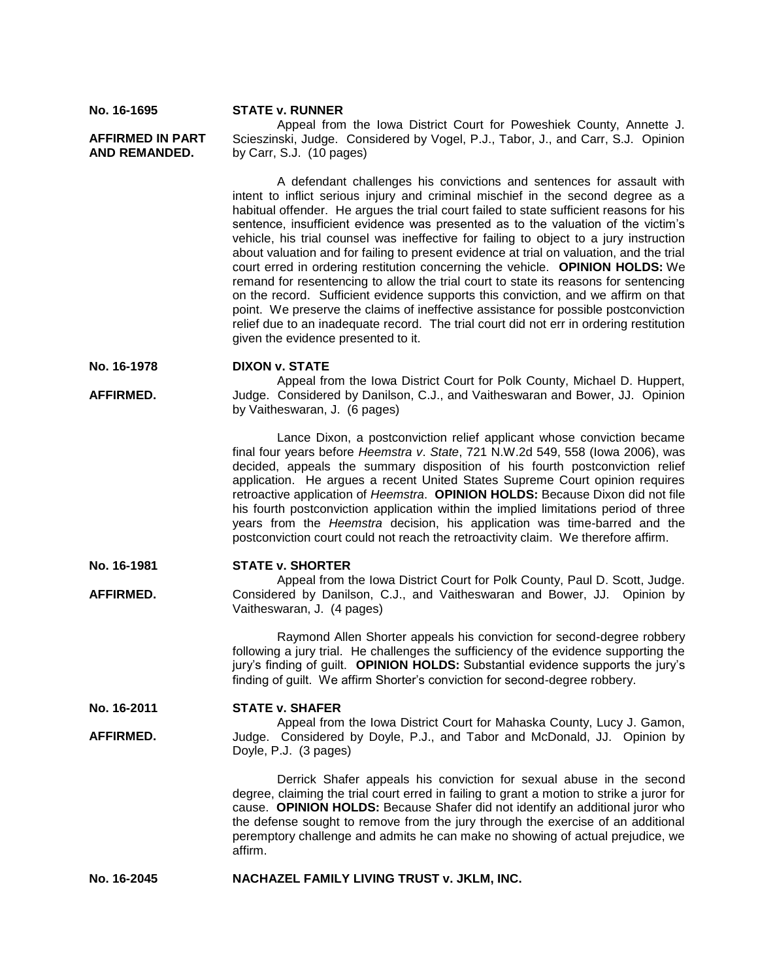**No. 16-1695**

### **STATE v. RUNNER**

**AFFIRMED IN PART AND REMANDED.**

Appeal from the Iowa District Court for Poweshiek County, Annette J. Scieszinski, Judge. Considered by Vogel, P.J., Tabor, J., and Carr, S.J. Opinion by Carr, S.J. (10 pages)

A defendant challenges his convictions and sentences for assault with intent to inflict serious injury and criminal mischief in the second degree as a habitual offender. He argues the trial court failed to state sufficient reasons for his sentence, insufficient evidence was presented as to the valuation of the victim's vehicle, his trial counsel was ineffective for failing to object to a jury instruction about valuation and for failing to present evidence at trial on valuation, and the trial court erred in ordering restitution concerning the vehicle. **OPINION HOLDS:** We remand for resentencing to allow the trial court to state its reasons for sentencing on the record. Sufficient evidence supports this conviction, and we affirm on that point. We preserve the claims of ineffective assistance for possible postconviction relief due to an inadequate record. The trial court did not err in ordering restitution given the evidence presented to it.

**No. 16-1978 DIXON v. STATE**

**AFFIRMED.** Appeal from the Iowa District Court for Polk County, Michael D. Huppert, Judge. Considered by Danilson, C.J., and Vaitheswaran and Bower, JJ. Opinion by Vaitheswaran, J. (6 pages)

> Lance Dixon, a postconviction relief applicant whose conviction became final four years before *Heemstra v*. *State*, 721 N.W.2d 549, 558 (Iowa 2006), was decided, appeals the summary disposition of his fourth postconviction relief application. He argues a recent United States Supreme Court opinion requires retroactive application of *Heemstra*. **OPINION HOLDS:** Because Dixon did not file his fourth postconviction application within the implied limitations period of three years from the *Heemstra* decision, his application was time-barred and the postconviction court could not reach the retroactivity claim. We therefore affirm.

#### **No. 16-1981 STATE v. SHORTER**

**AFFIRMED.**

Appeal from the Iowa District Court for Polk County, Paul D. Scott, Judge. Considered by Danilson, C.J., and Vaitheswaran and Bower, JJ. Opinion by Vaitheswaran, J. (4 pages)

Raymond Allen Shorter appeals his conviction for second-degree robbery following a jury trial. He challenges the sufficiency of the evidence supporting the jury's finding of guilt. **OPINION HOLDS:** Substantial evidence supports the jury's finding of guilt. We affirm Shorter's conviction for second-degree robbery.

#### **No. 16-2011 STATE v. SHAFER**

**AFFIRMED.** Appeal from the Iowa District Court for Mahaska County, Lucy J. Gamon, Judge. Considered by Doyle, P.J., and Tabor and McDonald, JJ. Opinion by Doyle, P.J. (3 pages)

> Derrick Shafer appeals his conviction for sexual abuse in the second degree, claiming the trial court erred in failing to grant a motion to strike a juror for cause. **OPINION HOLDS:** Because Shafer did not identify an additional juror who the defense sought to remove from the jury through the exercise of an additional peremptory challenge and admits he can make no showing of actual prejudice, we affirm.

## **No. 16-2045 NACHAZEL FAMILY LIVING TRUST v. JKLM, INC.**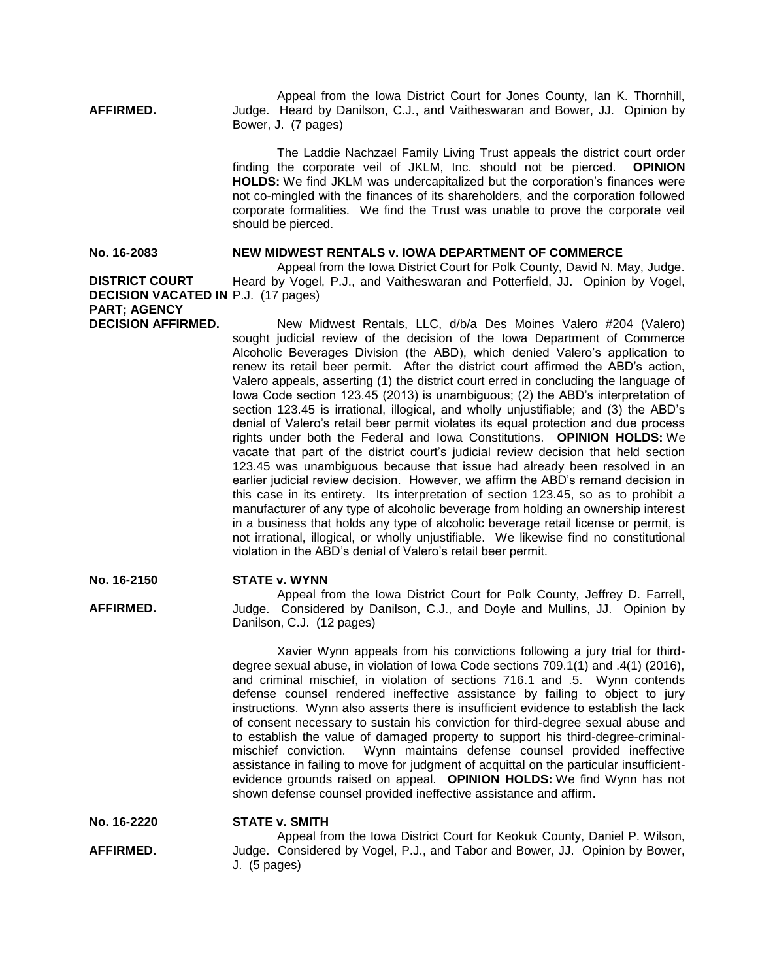**AFFIRMED.** Appeal from the Iowa District Court for Jones County, Ian K. Thornhill, Judge. Heard by Danilson, C.J., and Vaitheswaran and Bower, JJ. Opinion by Bower, J. (7 pages)

> The Laddie Nachzael Family Living Trust appeals the district court order finding the corporate veil of JKLM, Inc. should not be pierced. **OPINION HOLDS:** We find JKLM was undercapitalized but the corporation's finances were not co-mingled with the finances of its shareholders, and the corporation followed corporate formalities. We find the Trust was unable to prove the corporate veil should be pierced.

**No. 16-2083**

## **NEW MIDWEST RENTALS v. IOWA DEPARTMENT OF COMMERCE**

**DISTRICT COURT DECISION VACATED IN**  P.J. (17 pages) **PART; AGENCY**  Appeal from the Iowa District Court for Polk County, David N. May, Judge. Heard by Vogel, P.J., and Vaitheswaran and Potterfield, JJ. Opinion by Vogel,

**DECISION AFFIRMED.** New Midwest Rentals, LLC, d/b/a Des Moines Valero #204 (Valero) sought judicial review of the decision of the Iowa Department of Commerce Alcoholic Beverages Division (the ABD), which denied Valero's application to renew its retail beer permit. After the district court affirmed the ABD's action, Valero appeals, asserting (1) the district court erred in concluding the language of Iowa Code section 123.45 (2013) is unambiguous; (2) the ABD's interpretation of section 123.45 is irrational, illogical, and wholly unjustifiable; and (3) the ABD's denial of Valero's retail beer permit violates its equal protection and due process rights under both the Federal and Iowa Constitutions. **OPINION HOLDS:** We vacate that part of the district court's judicial review decision that held section 123.45 was unambiguous because that issue had already been resolved in an earlier judicial review decision. However, we affirm the ABD's remand decision in

this case in its entirety. Its interpretation of section 123.45, so as to prohibit a manufacturer of any type of alcoholic beverage from holding an ownership interest in a business that holds any type of alcoholic beverage retail license or permit, is not irrational, illogical, or wholly unjustifiable. We likewise find no constitutional violation in the ABD's denial of Valero's retail beer permit.

#### **No. 16-2150 STATE v. WYNN**

Appeal from the Iowa District Court for Polk County, Jeffrey D. Farrell, Judge. Considered by Danilson, C.J., and Doyle and Mullins, JJ. Opinion by Danilson, C.J. (12 pages)

Xavier Wynn appeals from his convictions following a jury trial for thirddegree sexual abuse, in violation of Iowa Code sections 709.1(1) and .4(1) (2016), and criminal mischief, in violation of sections 716.1 and .5. Wynn contends defense counsel rendered ineffective assistance by failing to object to jury instructions. Wynn also asserts there is insufficient evidence to establish the lack of consent necessary to sustain his conviction for third-degree sexual abuse and to establish the value of damaged property to support his third-degree-criminalmischief conviction. Wynn maintains defense counsel provided ineffective assistance in failing to move for judgment of acquittal on the particular insufficientevidence grounds raised on appeal. **OPINION HOLDS:** We find Wynn has not shown defense counsel provided ineffective assistance and affirm.

**No. 16-2220 STATE v. SMITH**

**AFFIRMED.**

**AFFIRMED.**

Appeal from the Iowa District Court for Keokuk County, Daniel P. Wilson, Judge. Considered by Vogel, P.J., and Tabor and Bower, JJ. Opinion by Bower, J. (5 pages)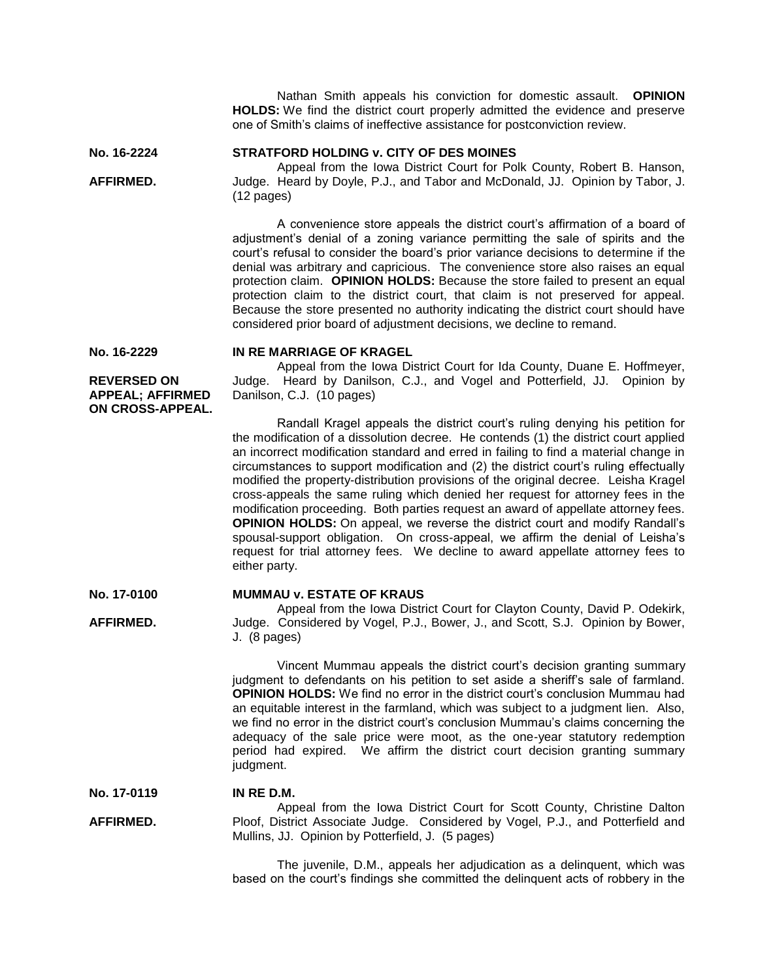Nathan Smith appeals his conviction for domestic assault. **OPINION HOLDS:** We find the district court properly admitted the evidence and preserve one of Smith's claims of ineffective assistance for postconviction review.

**No. 16-2224**

**AFFIRMED.**

**STRATFORD HOLDING v. CITY OF DES MOINES**

Appeal from the Iowa District Court for Polk County, Robert B. Hanson, Judge. Heard by Doyle, P.J., and Tabor and McDonald, JJ. Opinion by Tabor, J. (12 pages)

A convenience store appeals the district court's affirmation of a board of adjustment's denial of a zoning variance permitting the sale of spirits and the court's refusal to consider the board's prior variance decisions to determine if the denial was arbitrary and capricious. The convenience store also raises an equal protection claim. **OPINION HOLDS:** Because the store failed to present an equal protection claim to the district court, that claim is not preserved for appeal. Because the store presented no authority indicating the district court should have considered prior board of adjustment decisions, we decline to remand.

**No. 16-2229**

**AFFIRMED.**

**REVERSED ON APPEAL; AFFIRMED ON CROSS-APPEAL.** **IN RE MARRIAGE OF KRAGEL** Appeal from the Iowa District Court for Ida County, Duane E. Hoffmeyer, Judge. Heard by Danilson, C.J., and Vogel and Potterfield, JJ. Opinion by Danilson, C.J. (10 pages)

Randall Kragel appeals the district court's ruling denying his petition for the modification of a dissolution decree. He contends (1) the district court applied an incorrect modification standard and erred in failing to find a material change in circumstances to support modification and (2) the district court's ruling effectually modified the property-distribution provisions of the original decree. Leisha Kragel cross-appeals the same ruling which denied her request for attorney fees in the modification proceeding. Both parties request an award of appellate attorney fees. **OPINION HOLDS:** On appeal, we reverse the district court and modify Randall's spousal-support obligation. On cross-appeal, we affirm the denial of Leisha's request for trial attorney fees. We decline to award appellate attorney fees to either party.

#### **No. 17-0100 MUMMAU v. ESTATE OF KRAUS**

Appeal from the Iowa District Court for Clayton County, David P. Odekirk, Judge. Considered by Vogel, P.J., Bower, J., and Scott, S.J. Opinion by Bower, J. (8 pages)

Vincent Mummau appeals the district court's decision granting summary judgment to defendants on his petition to set aside a sheriff's sale of farmland. **OPINION HOLDS:** We find no error in the district court's conclusion Mummau had an equitable interest in the farmland, which was subject to a judgment lien. Also, we find no error in the district court's conclusion Mummau's claims concerning the adequacy of the sale price were moot, as the one-year statutory redemption period had expired. We affirm the district court decision granting summary judgment.

#### **No. 17-0119 IN RE D.M.**

**AFFIRMED.** Appeal from the Iowa District Court for Scott County, Christine Dalton Ploof, District Associate Judge. Considered by Vogel, P.J., and Potterfield and Mullins, JJ. Opinion by Potterfield, J. (5 pages)

> The juvenile, D.M., appeals her adjudication as a delinquent, which was based on the court's findings she committed the delinquent acts of robbery in the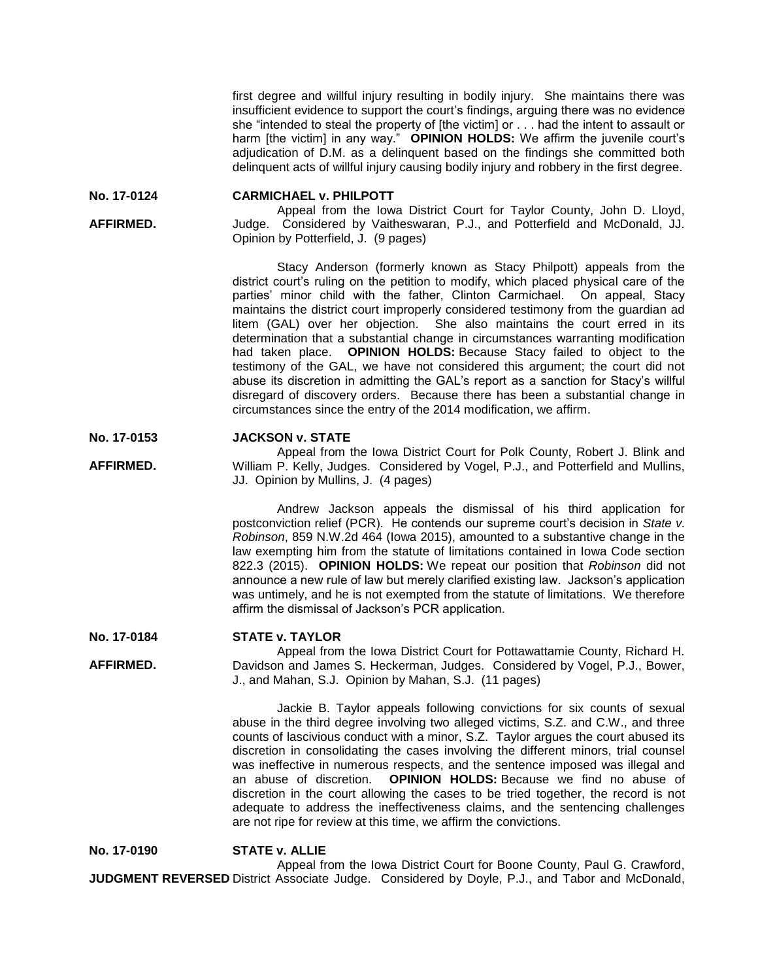first degree and willful injury resulting in bodily injury. She maintains there was insufficient evidence to support the court's findings, arguing there was no evidence she "intended to steal the property of [the victim] or . . . had the intent to assault or harm [the victim] in any way." **OPINION HOLDS:** We affirm the juvenile court's adjudication of D.M. as a delinquent based on the findings she committed both delinquent acts of willful injury causing bodily injury and robbery in the first degree.

**No. 17-0124**

**AFFIRMED.**

**AFFIRMED.**

### **CARMICHAEL v. PHILPOTT**

Appeal from the Iowa District Court for Taylor County, John D. Lloyd, Judge. Considered by Vaitheswaran, P.J., and Potterfield and McDonald, JJ. Opinion by Potterfield, J. (9 pages)

Stacy Anderson (formerly known as Stacy Philpott) appeals from the district court's ruling on the petition to modify, which placed physical care of the parties' minor child with the father, Clinton Carmichael. On appeal, Stacy maintains the district court improperly considered testimony from the guardian ad litem (GAL) over her objection. She also maintains the court erred in its determination that a substantial change in circumstances warranting modification had taken place. **OPINION HOLDS:** Because Stacy failed to object to the testimony of the GAL, we have not considered this argument; the court did not abuse its discretion in admitting the GAL's report as a sanction for Stacy's willful disregard of discovery orders.Because there has been a substantial change in circumstances since the entry of the 2014 modification, we affirm.

#### **No. 17-0153 JACKSON v. STATE**

Appeal from the Iowa District Court for Polk County, Robert J. Blink and William P. Kelly, Judges. Considered by Vogel, P.J., and Potterfield and Mullins, JJ. Opinion by Mullins, J. (4 pages)

Andrew Jackson appeals the dismissal of his third application for postconviction relief (PCR). He contends our supreme court's decision in *State v. Robinson*, 859 N.W.2d 464 (Iowa 2015), amounted to a substantive change in the law exempting him from the statute of limitations contained in Iowa Code section 822.3 (2015). **OPINION HOLDS:** We repeat our position that *Robinson* did not announce a new rule of law but merely clarified existing law. Jackson's application was untimely, and he is not exempted from the statute of limitations. We therefore affirm the dismissal of Jackson's PCR application.

#### **No. 17-0184 STATE v. TAYLOR**

**AFFIRMED.** Appeal from the Iowa District Court for Pottawattamie County, Richard H. Davidson and James S. Heckerman, Judges. Considered by Vogel, P.J., Bower, J., and Mahan, S.J. Opinion by Mahan, S.J. (11 pages)

> Jackie B. Taylor appeals following convictions for six counts of sexual abuse in the third degree involving two alleged victims, S.Z. and C.W., and three counts of lascivious conduct with a minor, S.Z. Taylor argues the court abused its discretion in consolidating the cases involving the different minors, trial counsel was ineffective in numerous respects, and the sentence imposed was illegal and an abuse of discretion. **OPINION HOLDS:** Because we find no abuse of discretion in the court allowing the cases to be tried together, the record is not adequate to address the ineffectiveness claims, and the sentencing challenges are not ripe for review at this time, we affirm the convictions.

**No. 17-0190 JUDGMENT REVERSED** District Associate Judge. Considered by Doyle, P.J., and Tabor and McDonald, **STATE v. ALLIE** Appeal from the Iowa District Court for Boone County, Paul G. Crawford,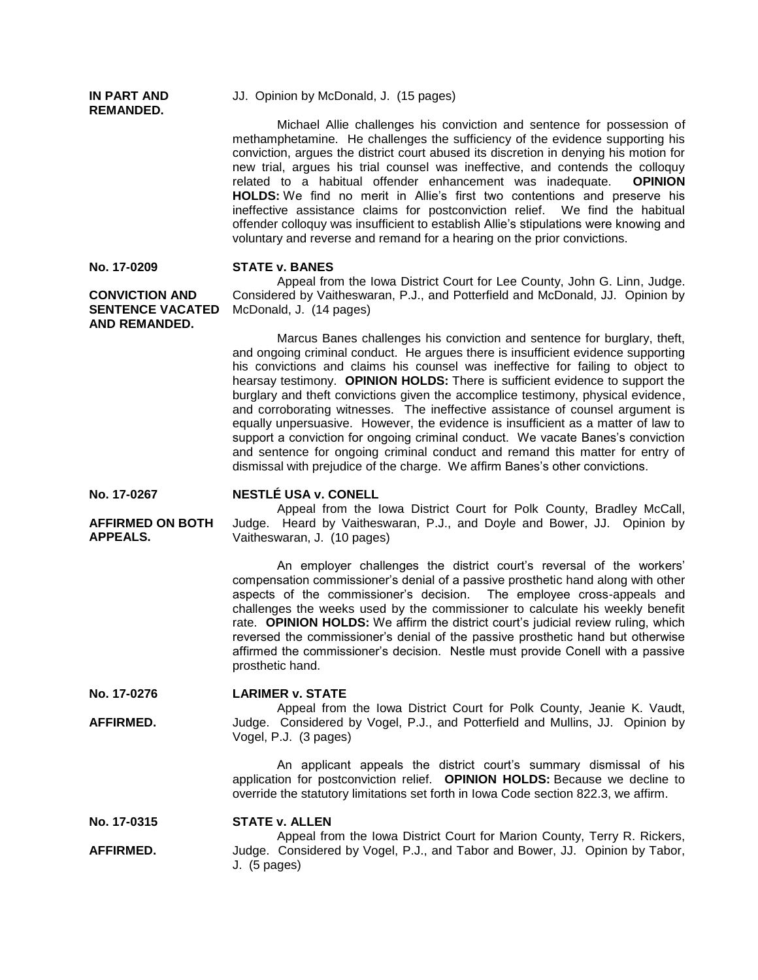# **IN PART AND REMANDED.**

### JJ. Opinion by McDonald, J. (15 pages)

Michael Allie challenges his conviction and sentence for possession of methamphetamine. He challenges the sufficiency of the evidence supporting his conviction, argues the district court abused its discretion in denying his motion for new trial, argues his trial counsel was ineffective, and contends the colloquy related to a habitual offender enhancement was inadequate. **OPINION HOLDS:** We find no merit in Allie's first two contentions and preserve his ineffective assistance claims for postconviction relief. We find the habitual offender colloquy was insufficient to establish Allie's stipulations were knowing and voluntary and reverse and remand for a hearing on the prior convictions.

## **No. 17-0209**

### **CONVICTION AND SENTENCE VACATED AND REMANDED.**

Appeal from the Iowa District Court for Lee County, John G. Linn, Judge. Considered by Vaitheswaran, P.J., and Potterfield and McDonald, JJ. Opinion by McDonald, J. (14 pages)

Marcus Banes challenges his conviction and sentence for burglary, theft, and ongoing criminal conduct. He argues there is insufficient evidence supporting his convictions and claims his counsel was ineffective for failing to object to hearsay testimony. **OPINION HOLDS:** There is sufficient evidence to support the burglary and theft convictions given the accomplice testimony, physical evidence, and corroborating witnesses. The ineffective assistance of counsel argument is equally unpersuasive. However, the evidence is insufficient as a matter of law to support a conviction for ongoing criminal conduct. We vacate Banes's conviction and sentence for ongoing criminal conduct and remand this matter for entry of dismissal with prejudice of the charge. We affirm Banes's other convictions.

**No. 17-0267**

**APPEALS.**

**AFFIRMED ON BOTH** 

### **NESTLÉ USA v. CONELL**

**STATE v. BANES**

Appeal from the Iowa District Court for Polk County, Bradley McCall, Judge. Heard by Vaitheswaran, P.J., and Doyle and Bower, JJ. Opinion by Vaitheswaran, J. (10 pages)

An employer challenges the district court's reversal of the workers' compensation commissioner's denial of a passive prosthetic hand along with other aspects of the commissioner's decision. The employee cross-appeals and challenges the weeks used by the commissioner to calculate his weekly benefit rate. **OPINION HOLDS:** We affirm the district court's judicial review ruling, which reversed the commissioner's denial of the passive prosthetic hand but otherwise affirmed the commissioner's decision. Nestle must provide Conell with a passive prosthetic hand.

**No. 17-0276 LARIMER v. STATE**

**AFFIRMED.**

Appeal from the Iowa District Court for Polk County, Jeanie K. Vaudt, Judge. Considered by Vogel, P.J., and Potterfield and Mullins, JJ. Opinion by Vogel, P.J. (3 pages)

An applicant appeals the district court's summary dismissal of his application for postconviction relief. **OPINION HOLDS:** Because we decline to override the statutory limitations set forth in Iowa Code section 822.3, we affirm.

**No. 17-0315 STATE v. ALLEN**

**AFFIRMED.** Appeal from the Iowa District Court for Marion County, Terry R. Rickers, Judge. Considered by Vogel, P.J., and Tabor and Bower, JJ. Opinion by Tabor, J. (5 pages)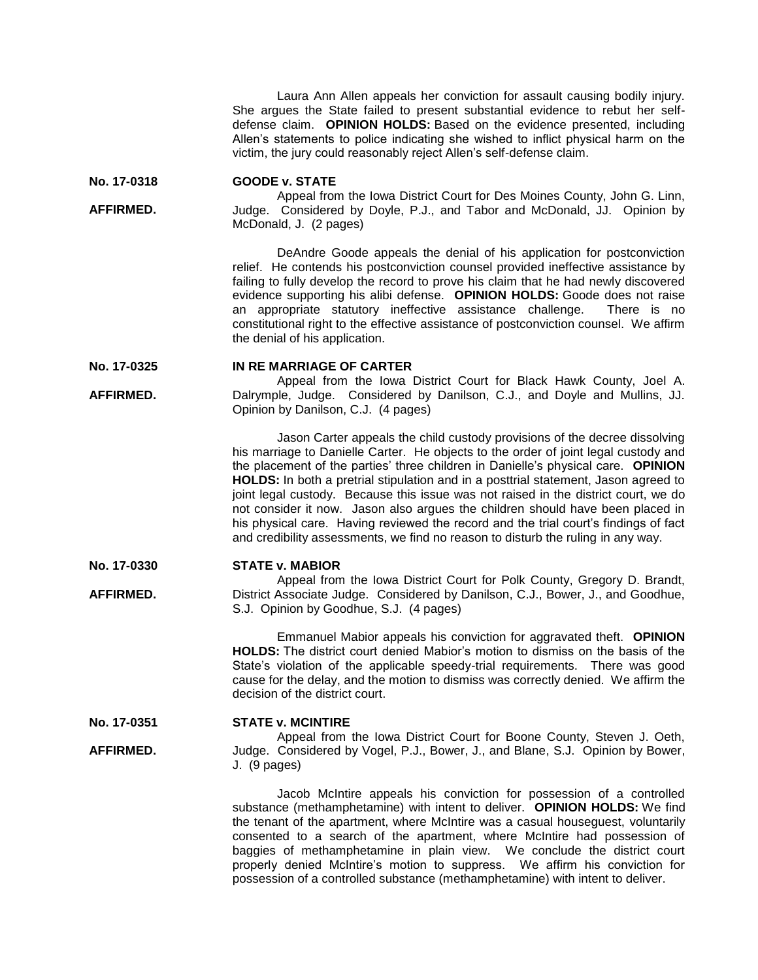Laura Ann Allen appeals her conviction for assault causing bodily injury. She argues the State failed to present substantial evidence to rebut her selfdefense claim. **OPINION HOLDS:** Based on the evidence presented, including Allen's statements to police indicating she wished to inflict physical harm on the victim, the jury could reasonably reject Allen's self-defense claim.

**No. 17-0318 GOODE v. STATE**

**AFFIRMED.** Appeal from the Iowa District Court for Des Moines County, John G. Linn, Judge. Considered by Doyle, P.J., and Tabor and McDonald, JJ. Opinion by McDonald, J. (2 pages)

> DeAndre Goode appeals the denial of his application for postconviction relief. He contends his postconviction counsel provided ineffective assistance by failing to fully develop the record to prove his claim that he had newly discovered evidence supporting his alibi defense. **OPINION HOLDS:** Goode does not raise an appropriate statutory ineffective assistance challenge. There is no constitutional right to the effective assistance of postconviction counsel. We affirm the denial of his application.

**No. 17-0325 IN RE MARRIAGE OF CARTER**

**AFFIRMED.** Appeal from the Iowa District Court for Black Hawk County, Joel A. Dalrymple, Judge. Considered by Danilson, C.J., and Doyle and Mullins, JJ. Opinion by Danilson, C.J. (4 pages)

> Jason Carter appeals the child custody provisions of the decree dissolving his marriage to Danielle Carter. He objects to the order of joint legal custody and the placement of the parties' three children in Danielle's physical care. **OPINION HOLDS:** In both a pretrial stipulation and in a posttrial statement, Jason agreed to joint legal custody. Because this issue was not raised in the district court, we do not consider it now. Jason also argues the children should have been placed in his physical care. Having reviewed the record and the trial court's findings of fact and credibility assessments, we find no reason to disturb the ruling in any way.

#### **No. 17-0330 STATE v. MABIOR**

Appeal from the Iowa District Court for Polk County, Gregory D. Brandt, District Associate Judge. Considered by Danilson, C.J., Bower, J., and Goodhue, S.J. Opinion by Goodhue, S.J. (4 pages)

Emmanuel Mabior appeals his conviction for aggravated theft. **OPINION HOLDS:** The district court denied Mabior's motion to dismiss on the basis of the State's violation of the applicable speedy-trial requirements. There was good cause for the delay, and the motion to dismiss was correctly denied. We affirm the decision of the district court.

**No. 17-0351**

**AFFIRMED.**

**AFFIRMED.**

**STATE v. MCINTIRE**

Appeal from the Iowa District Court for Boone County, Steven J. Oeth, Judge. Considered by Vogel, P.J., Bower, J., and Blane, S.J. Opinion by Bower, J. (9 pages)

Jacob McIntire appeals his conviction for possession of a controlled substance (methamphetamine) with intent to deliver. **OPINION HOLDS:** We find the tenant of the apartment, where McIntire was a casual houseguest, voluntarily consented to a search of the apartment, where McIntire had possession of baggies of methamphetamine in plain view. We conclude the district court properly denied McIntire's motion to suppress. We affirm his conviction for possession of a controlled substance (methamphetamine) with intent to deliver.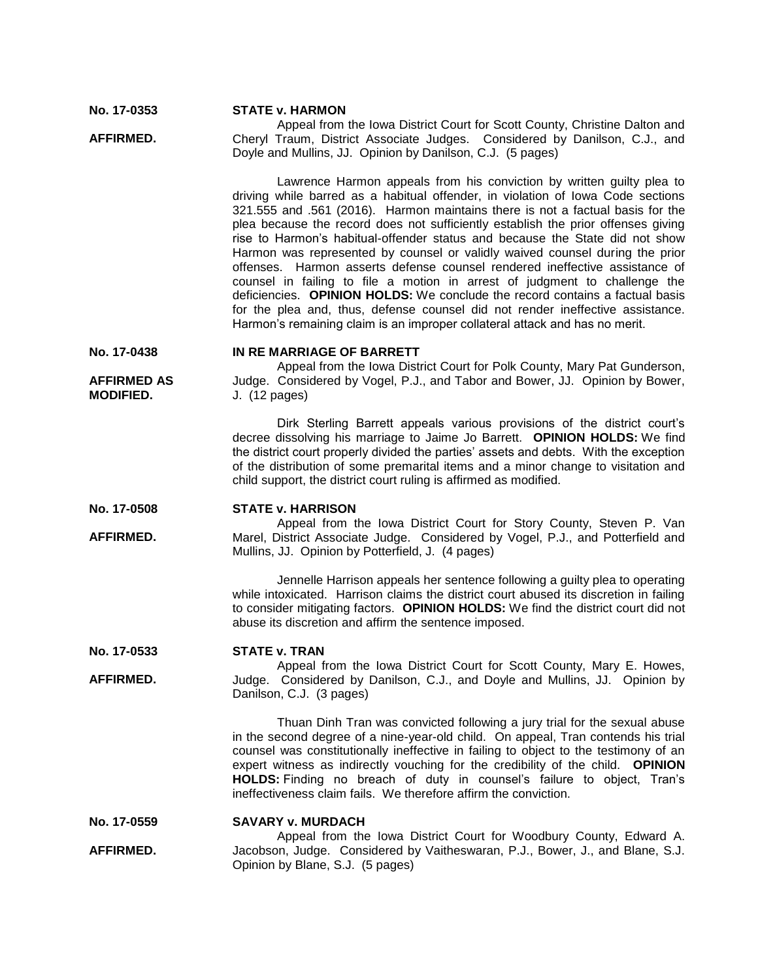**No. 17-0353 AFFIRMED. STATE v. HARMON** Appeal from the Iowa District Court for Scott County, Christine Dalton and Cheryl Traum, District Associate Judges. Considered by Danilson, C.J., and

Doyle and Mullins, JJ. Opinion by Danilson, C.J. (5 pages)

Lawrence Harmon appeals from his conviction by written guilty plea to driving while barred as a habitual offender, in violation of Iowa Code sections 321.555 and .561 (2016). Harmon maintains there is not a factual basis for the plea because the record does not sufficiently establish the prior offenses giving rise to Harmon's habitual-offender status and because the State did not show Harmon was represented by counsel or validly waived counsel during the prior offenses. Harmon asserts defense counsel rendered ineffective assistance of counsel in failing to file a motion in arrest of judgment to challenge the deficiencies. **OPINION HOLDS:** We conclude the record contains a factual basis for the plea and, thus, defense counsel did not render ineffective assistance. Harmon's remaining claim is an improper collateral attack and has no merit.

#### **No. 17-0438 IN RE MARRIAGE OF BARRETT**

**AFFIRMED AS MODIFIED.** Appeal from the Iowa District Court for Polk County, Mary Pat Gunderson, Judge. Considered by Vogel, P.J., and Tabor and Bower, JJ. Opinion by Bower, J. (12 pages)

> Dirk Sterling Barrett appeals various provisions of the district court's decree dissolving his marriage to Jaime Jo Barrett. **OPINION HOLDS:** We find the district court properly divided the parties' assets and debts. With the exception of the distribution of some premarital items and a minor change to visitation and child support, the district court ruling is affirmed as modified.

#### **No. 17-0508 STATE v. HARRISON**

**AFFIRMED.** Appeal from the Iowa District Court for Story County, Steven P. Van Marel, District Associate Judge. Considered by Vogel, P.J., and Potterfield and Mullins, JJ. Opinion by Potterfield, J. (4 pages)

> Jennelle Harrison appeals her sentence following a guilty plea to operating while intoxicated. Harrison claims the district court abused its discretion in failing to consider mitigating factors. **OPINION HOLDS:** We find the district court did not abuse its discretion and affirm the sentence imposed.

#### **No. 17-0533 STATE v. TRAN**

**AFFIRMED.**

Appeal from the Iowa District Court for Scott County, Mary E. Howes, Judge. Considered by Danilson, C.J., and Doyle and Mullins, JJ. Opinion by Danilson, C.J. (3 pages)

Thuan Dinh Tran was convicted following a jury trial for the sexual abuse in the second degree of a nine-year-old child. On appeal, Tran contends his trial counsel was constitutionally ineffective in failing to object to the testimony of an expert witness as indirectly vouching for the credibility of the child. **OPINION HOLDS:** Finding no breach of duty in counsel's failure to object, Tran's ineffectiveness claim fails. We therefore affirm the conviction.

#### **No. 17-0559 SAVARY v. MURDACH**

**AFFIRMED.** Appeal from the Iowa District Court for Woodbury County, Edward A. Jacobson, Judge. Considered by Vaitheswaran, P.J., Bower, J., and Blane, S.J. Opinion by Blane, S.J. (5 pages)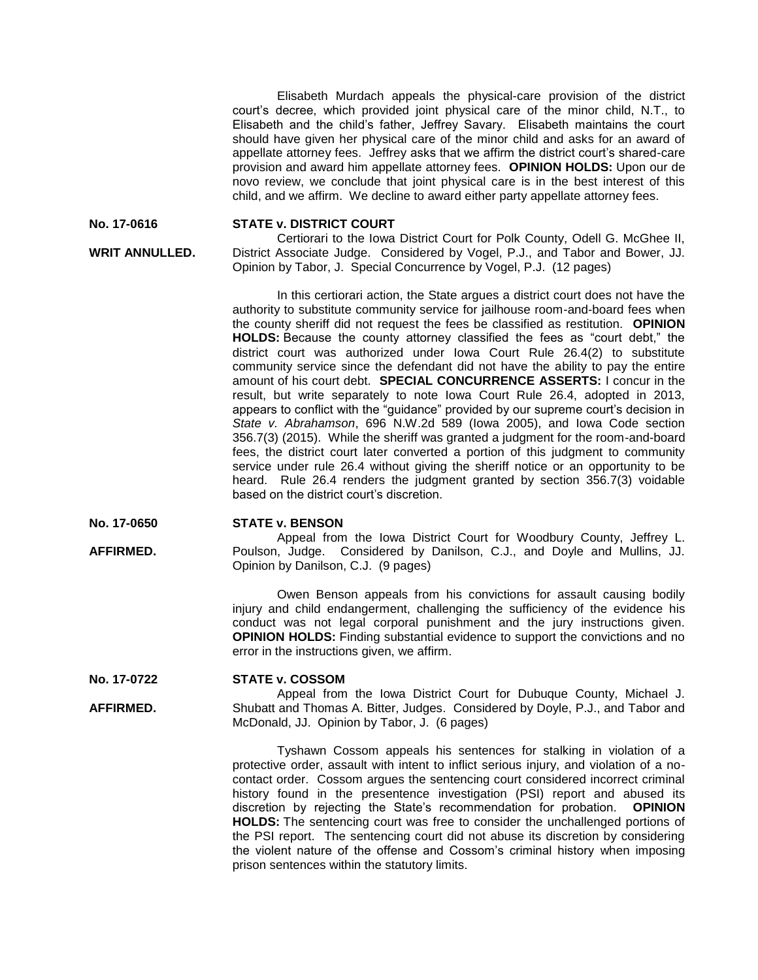Elisabeth Murdach appeals the physical-care provision of the district court's decree, which provided joint physical care of the minor child, N.T., to Elisabeth and the child's father, Jeffrey Savary. Elisabeth maintains the court should have given her physical care of the minor child and asks for an award of appellate attorney fees. Jeffrey asks that we affirm the district court's shared-care provision and award him appellate attorney fees. **OPINION HOLDS:** Upon our de novo review, we conclude that joint physical care is in the best interest of this child, and we affirm. We decline to award either party appellate attorney fees.

#### **No. 17-0616 STATE v. DISTRICT COURT**

**WRIT ANNULLED.**

**AFFIRMED.**

**AFFIRMED.**

Certiorari to the Iowa District Court for Polk County, Odell G. McGhee II, District Associate Judge. Considered by Vogel, P.J., and Tabor and Bower, JJ. Opinion by Tabor, J. Special Concurrence by Vogel, P.J. (12 pages)

In this certiorari action, the State argues a district court does not have the authority to substitute community service for jailhouse room-and-board fees when the county sheriff did not request the fees be classified as restitution. **OPINION HOLDS:** Because the county attorney classified the fees as "court debt," the district court was authorized under Iowa Court Rule 26.4(2) to substitute community service since the defendant did not have the ability to pay the entire amount of his court debt. **SPECIAL CONCURRENCE ASSERTS:** I concur in the result, but write separately to note Iowa Court Rule 26.4, adopted in 2013, appears to conflict with the "guidance" provided by our supreme court's decision in *State v. Abrahamson*, 696 N.W.2d 589 (Iowa 2005), and Iowa Code section 356.7(3) (2015). While the sheriff was granted a judgment for the room-and-board fees, the district court later converted a portion of this judgment to community service under rule 26.4 without giving the sheriff notice or an opportunity to be heard. Rule 26.4 renders the judgment granted by section 356.7(3) voidable based on the district court's discretion.

#### **No. 17-0650 STATE v. BENSON**

Appeal from the Iowa District Court for Woodbury County, Jeffrey L. Poulson, Judge. Considered by Danilson, C.J., and Doyle and Mullins, JJ. Opinion by Danilson, C.J. (9 pages)

Owen Benson appeals from his convictions for assault causing bodily injury and child endangerment, challenging the sufficiency of the evidence his conduct was not legal corporal punishment and the jury instructions given. **OPINION HOLDS:** Finding substantial evidence to support the convictions and no error in the instructions given, we affirm.

#### **No. 17-0722 STATE v. COSSOM**

Appeal from the Iowa District Court for Dubuque County, Michael J. Shubatt and Thomas A. Bitter, Judges. Considered by Doyle, P.J., and Tabor and McDonald, JJ. Opinion by Tabor, J. (6 pages)

Tyshawn Cossom appeals his sentences for stalking in violation of a protective order, assault with intent to inflict serious injury, and violation of a nocontact order. Cossom argues the sentencing court considered incorrect criminal history found in the presentence investigation (PSI) report and abused its discretion by rejecting the State's recommendation for probation. **OPINION HOLDS:** The sentencing court was free to consider the unchallenged portions of the PSI report. The sentencing court did not abuse its discretion by considering the violent nature of the offense and Cossom's criminal history when imposing prison sentences within the statutory limits.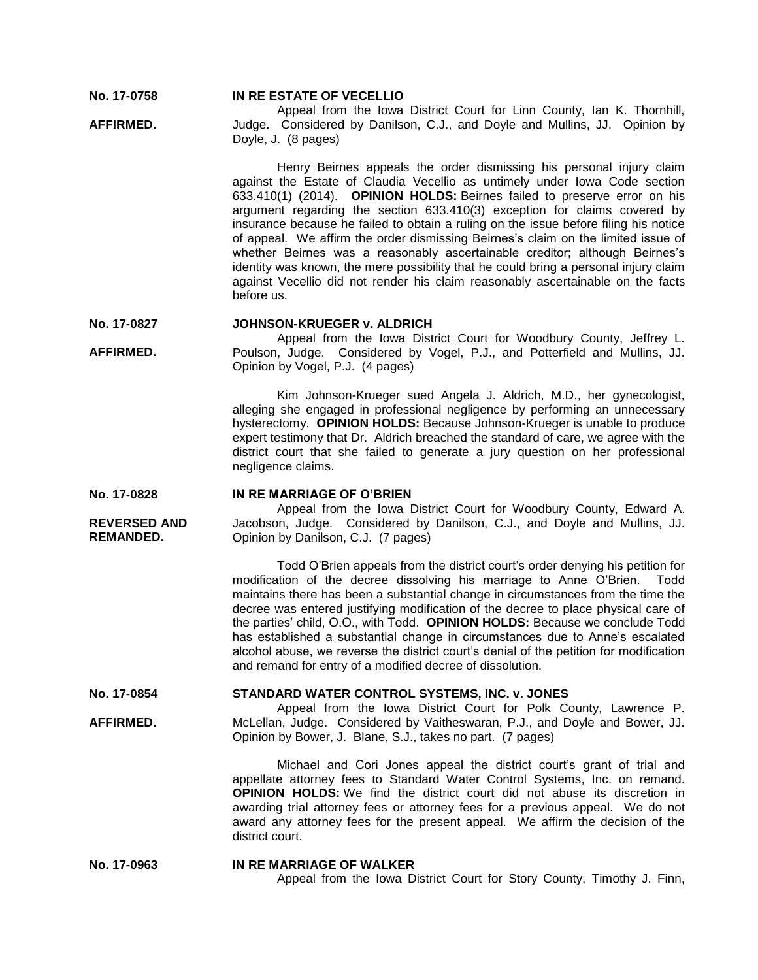#### **No. 17-0758 IN RE ESTATE OF VECELLIO**

Appeal from the Iowa District Court for Linn County, Ian K. Thornhill, Judge. Considered by Danilson, C.J., and Doyle and Mullins, JJ. Opinion by Doyle, J. (8 pages)

Henry Beirnes appeals the order dismissing his personal injury claim against the Estate of Claudia Vecellio as untimely under Iowa Code section 633.410(1) (2014). **OPINION HOLDS:** Beirnes failed to preserve error on his argument regarding the section 633.410(3) exception for claims covered by insurance because he failed to obtain a ruling on the issue before filing his notice of appeal. We affirm the order dismissing Beirnes's claim on the limited issue of whether Beirnes was a reasonably ascertainable creditor; although Beirnes's identity was known, the mere possibility that he could bring a personal injury claim against Vecellio did not render his claim reasonably ascertainable on the facts before us.

#### **No. 17-0827 JOHNSON-KRUEGER v. ALDRICH**

**AFFIRMED.** Appeal from the Iowa District Court for Woodbury County, Jeffrey L. Poulson, Judge. Considered by Vogel, P.J., and Potterfield and Mullins, JJ. Opinion by Vogel, P.J. (4 pages)

> Kim Johnson-Krueger sued Angela J. Aldrich, M.D., her gynecologist, alleging she engaged in professional negligence by performing an unnecessary hysterectomy. **OPINION HOLDS:** Because Johnson-Krueger is unable to produce expert testimony that Dr. Aldrich breached the standard of care, we agree with the district court that she failed to generate a jury question on her professional negligence claims.

#### **No. 17-0828 IN RE MARRIAGE OF O'BRIEN**

Appeal from the Iowa District Court for Woodbury County, Edward A. Jacobson, Judge. Considered by Danilson, C.J., and Doyle and Mullins, JJ. Opinion by Danilson, C.J. (7 pages)

Todd O'Brien appeals from the district court's order denying his petition for modification of the decree dissolving his marriage to Anne O'Brien. Todd maintains there has been a substantial change in circumstances from the time the decree was entered justifying modification of the decree to place physical care of the parties' child, O.O., with Todd. **OPINION HOLDS:** Because we conclude Todd has established a substantial change in circumstances due to Anne's escalated alcohol abuse, we reverse the district court's denial of the petition for modification and remand for entry of a modified decree of dissolution.

#### **No. 17-0854 STANDARD WATER CONTROL SYSTEMS, INC. v. JONES**

**AFFIRMED.**

Appeal from the Iowa District Court for Polk County, Lawrence P. McLellan, Judge. Considered by Vaitheswaran, P.J., and Doyle and Bower, JJ. Opinion by Bower, J. Blane, S.J., takes no part. (7 pages)

Michael and Cori Jones appeal the district court's grant of trial and appellate attorney fees to Standard Water Control Systems, Inc. on remand. **OPINION HOLDS:** We find the district court did not abuse its discretion in awarding trial attorney fees or attorney fees for a previous appeal. We do not award any attorney fees for the present appeal. We affirm the decision of the district court.

# **No. 17-0963 IN RE MARRIAGE OF WALKER** Appeal from the Iowa District Court for Story County, Timothy J. Finn,

**AFFIRMED.**

**REVERSED AND** 

**REMANDED.**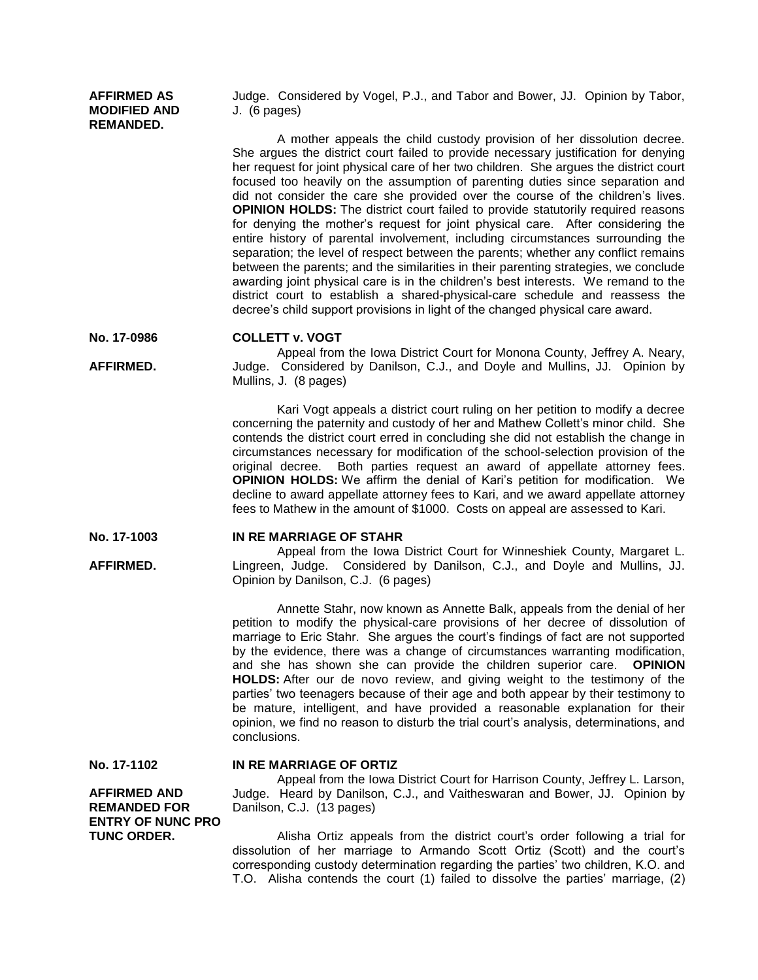## **AFFIRMED AS MODIFIED AND REMANDED.**

Judge. Considered by Vogel, P.J., and Tabor and Bower, JJ. Opinion by Tabor, J. (6 pages)

A mother appeals the child custody provision of her dissolution decree. She argues the district court failed to provide necessary justification for denying her request for joint physical care of her two children. She arques the district court focused too heavily on the assumption of parenting duties since separation and did not consider the care she provided over the course of the children's lives. **OPINION HOLDS:** The district court failed to provide statutorily required reasons for denying the mother's request for joint physical care. After considering the entire history of parental involvement, including circumstances surrounding the separation; the level of respect between the parents; whether any conflict remains between the parents; and the similarities in their parenting strategies, we conclude awarding joint physical care is in the children's best interests. We remand to the district court to establish a shared-physical-care schedule and reassess the decree's child support provisions in light of the changed physical care award.

#### **No. 17-0986 COLLETT v. VOGT**

**AFFIRMED.**

Appeal from the Iowa District Court for Monona County, Jeffrey A. Neary, Judge. Considered by Danilson, C.J., and Doyle and Mullins, JJ. Opinion by Mullins, J. (8 pages)

Kari Vogt appeals a district court ruling on her petition to modify a decree concerning the paternity and custody of her and Mathew Collett's minor child. She contends the district court erred in concluding she did not establish the change in circumstances necessary for modification of the school-selection provision of the original decree. Both parties request an award of appellate attorney fees. **OPINION HOLDS:** We affirm the denial of Kari's petition for modification. We decline to award appellate attorney fees to Kari, and we award appellate attorney fees to Mathew in the amount of \$1000. Costs on appeal are assessed to Kari.

#### **No. 17-1003 IN RE MARRIAGE OF STAHR**

Appeal from the Iowa District Court for Winneshiek County, Margaret L. Lingreen, Judge. Considered by Danilson, C.J., and Doyle and Mullins, JJ. Opinion by Danilson, C.J. (6 pages)

Annette Stahr, now known as Annette Balk, appeals from the denial of her petition to modify the physical-care provisions of her decree of dissolution of marriage to Eric Stahr. She argues the court's findings of fact are not supported by the evidence, there was a change of circumstances warranting modification, and she has shown she can provide the children superior care. **OPINION HOLDS:** After our de novo review, and giving weight to the testimony of the parties' two teenagers because of their age and both appear by their testimony to be mature, intelligent, and have provided a reasonable explanation for their opinion, we find no reason to disturb the trial court's analysis, determinations, and conclusions.

**No. 17-1102**

**AFFIRMED AND** 

**AFFIRMED.**

### **IN RE MARRIAGE OF ORTIZ**

Appeal from the Iowa District Court for Harrison County, Jeffrey L. Larson, Judge. Heard by Danilson, C.J., and Vaitheswaran and Bower, JJ. Opinion by Danilson, C.J. (13 pages)

**REMANDED FOR ENTRY OF NUNC PRO TUNC ORDER.**

Alisha Ortiz appeals from the district court's order following a trial for dissolution of her marriage to Armando Scott Ortiz (Scott) and the court's corresponding custody determination regarding the parties' two children, K.O. and T.O. Alisha contends the court (1) failed to dissolve the parties' marriage, (2)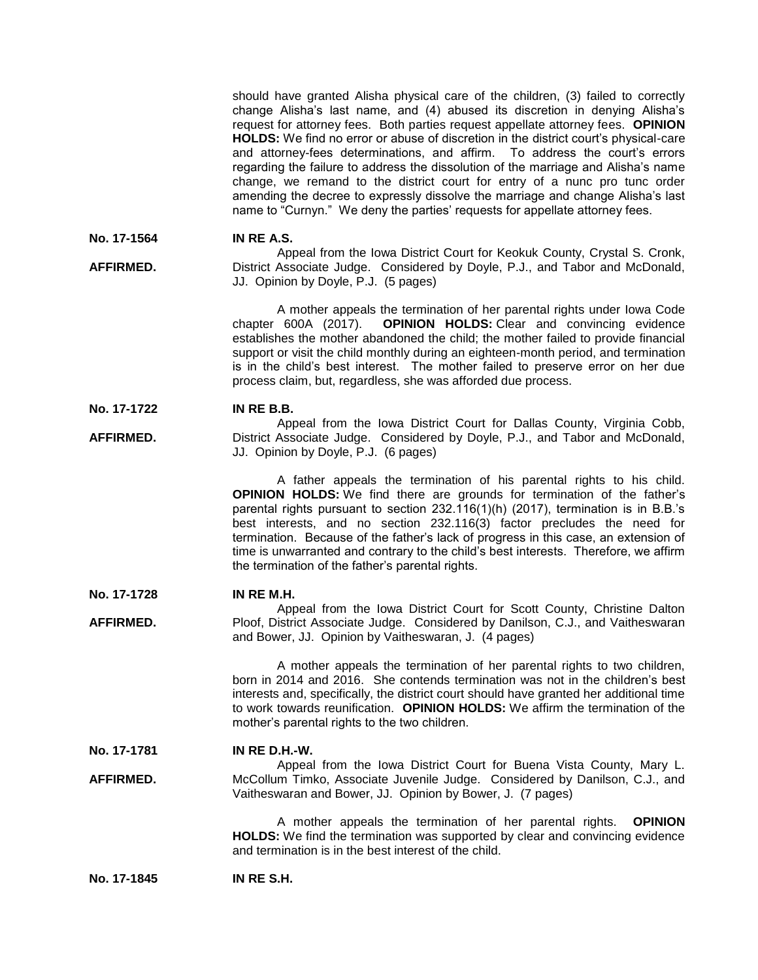should have granted Alisha physical care of the children, (3) failed to correctly change Alisha's last name, and (4) abused its discretion in denying Alisha's request for attorney fees. Both parties request appellate attorney fees. **OPINION HOLDS:** We find no error or abuse of discretion in the district court's physical-care and attorney-fees determinations, and affirm. To address the court's errors regarding the failure to address the dissolution of the marriage and Alisha's name change, we remand to the district court for entry of a nunc pro tunc order amending the decree to expressly dissolve the marriage and change Alisha's last name to "Curnyn." We deny the parties' requests for appellate attorney fees.

**No. 17-1564 IN RE A.S.**

**AFFIRMED.** Appeal from the Iowa District Court for Keokuk County, Crystal S. Cronk, District Associate Judge. Considered by Doyle, P.J., and Tabor and McDonald, JJ. Opinion by Doyle, P.J. (5 pages)

> A mother appeals the termination of her parental rights under Iowa Code chapter 600A (2017). **OPINION HOLDS:** Clear and convincing evidence establishes the mother abandoned the child; the mother failed to provide financial support or visit the child monthly during an eighteen-month period, and termination is in the child's best interest. The mother failed to preserve error on her due process claim, but, regardless, she was afforded due process.

**No. 17-1722 IN RE B.B.**

**AFFIRMED.** Appeal from the Iowa District Court for Dallas County, Virginia Cobb, District Associate Judge. Considered by Doyle, P.J., and Tabor and McDonald, JJ. Opinion by Doyle, P.J. (6 pages)

> A father appeals the termination of his parental rights to his child. **OPINION HOLDS:** We find there are grounds for termination of the father's parental rights pursuant to section 232.116(1)(h) (2017), termination is in B.B.'s best interests, and no section 232.116(3) factor precludes the need for termination. Because of the father's lack of progress in this case, an extension of time is unwarranted and contrary to the child's best interests. Therefore, we affirm the termination of the father's parental rights.

**No. 17-1728 IN RE M.H.**

**AFFIRMED.** Appeal from the Iowa District Court for Scott County, Christine Dalton Ploof, District Associate Judge. Considered by Danilson, C.J., and Vaitheswaran and Bower, JJ. Opinion by Vaitheswaran, J. (4 pages)

> A mother appeals the termination of her parental rights to two children, born in 2014 and 2016. She contends termination was not in the children's best interests and, specifically, the district court should have granted her additional time to work towards reunification. **OPINION HOLDS:** We affirm the termination of the mother's parental rights to the two children.

**No. 17-1781 IN RE D.H.-W.**

**AFFIRMED.** Appeal from the Iowa District Court for Buena Vista County, Mary L. McCollum Timko, Associate Juvenile Judge. Considered by Danilson, C.J., and Vaitheswaran and Bower, JJ. Opinion by Bower, J. (7 pages)

> A mother appeals the termination of her parental rights. **OPINION HOLDS:** We find the termination was supported by clear and convincing evidence and termination is in the best interest of the child.

**No. 17-1845 IN RE S.H.**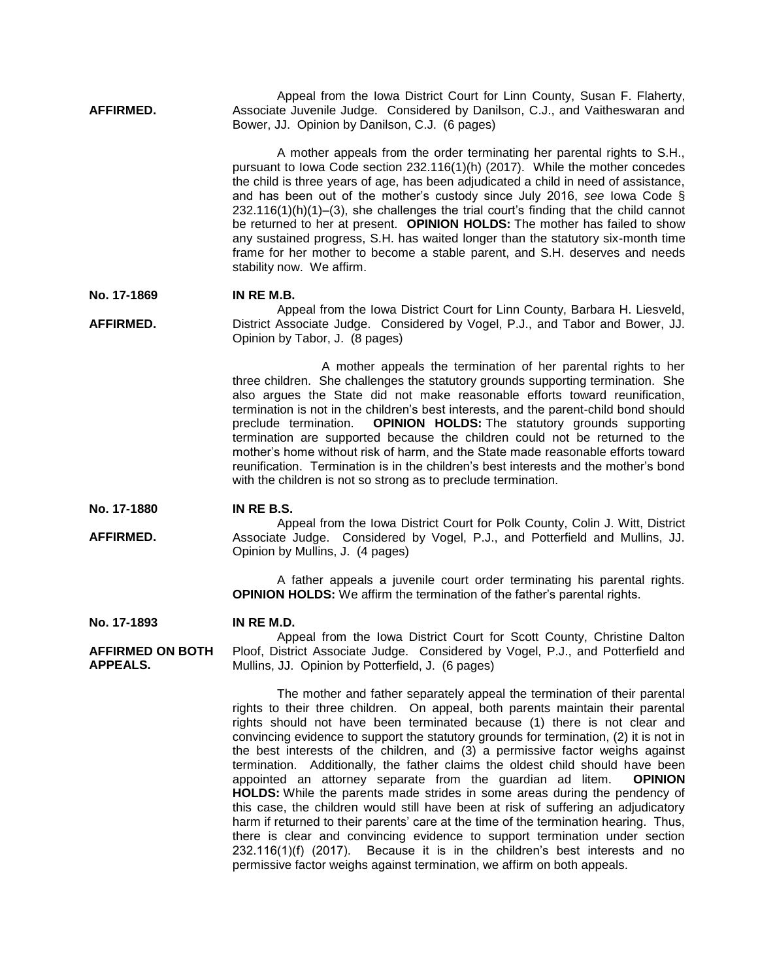**AFFIRMED.** Appeal from the Iowa District Court for Linn County, Susan F. Flaherty, Associate Juvenile Judge. Considered by Danilson, C.J., and Vaitheswaran and Bower, JJ. Opinion by Danilson, C.J. (6 pages)

> A mother appeals from the order terminating her parental rights to S.H., pursuant to Iowa Code section 232.116(1)(h) (2017). While the mother concedes the child is three years of age, has been adjudicated a child in need of assistance, and has been out of the mother's custody since July 2016, *see* Iowa Code § 232.116(1)(h)(1)–(3), she challenges the trial court's finding that the child cannot be returned to her at present. **OPINION HOLDS:** The mother has failed to show any sustained progress, S.H. has waited longer than the statutory six-month time frame for her mother to become a stable parent, and S.H. deserves and needs stability now. We affirm.

**No. 17-1869 IN RE M.B.**

**AFFIRMED.** Appeal from the Iowa District Court for Linn County, Barbara H. Liesveld, District Associate Judge. Considered by Vogel, P.J., and Tabor and Bower, JJ. Opinion by Tabor, J. (8 pages)

> A mother appeals the termination of her parental rights to her three children. She challenges the statutory grounds supporting termination. She also argues the State did not make reasonable efforts toward reunification, termination is not in the children's best interests, and the parent-child bond should preclude termination. **OPINION HOLDS:** The statutory grounds supporting termination are supported because the children could not be returned to the mother's home without risk of harm, and the State made reasonable efforts toward reunification. Termination is in the children's best interests and the mother's bond with the children is not so strong as to preclude termination.

**No. 17-1880 IN RE B.S.**

**AFFIRMED.** Appeal from the Iowa District Court for Polk County, Colin J. Witt, District Associate Judge. Considered by Vogel, P.J., and Potterfield and Mullins, JJ. Opinion by Mullins, J. (4 pages)

> A father appeals a juvenile court order terminating his parental rights. **OPINION HOLDS:** We affirm the termination of the father's parental rights.

**No. 17-1893**

### **IN RE M.D.**

**AFFIRMED ON BOTH APPEALS.** Appeal from the Iowa District Court for Scott County, Christine Dalton Ploof, District Associate Judge. Considered by Vogel, P.J., and Potterfield and Mullins, JJ. Opinion by Potterfield, J. (6 pages)

> The mother and father separately appeal the termination of their parental rights to their three children. On appeal, both parents maintain their parental rights should not have been terminated because (1) there is not clear and convincing evidence to support the statutory grounds for termination, (2) it is not in the best interests of the children, and (3) a permissive factor weighs against termination. Additionally, the father claims the oldest child should have been appointed an attorney separate from the guardian ad litem. **OPINION HOLDS:** While the parents made strides in some areas during the pendency of this case, the children would still have been at risk of suffering an adjudicatory harm if returned to their parents' care at the time of the termination hearing. Thus, there is clear and convincing evidence to support termination under section 232.116(1)(f) (2017). Because it is in the children's best interests and no permissive factor weighs against termination, we affirm on both appeals.